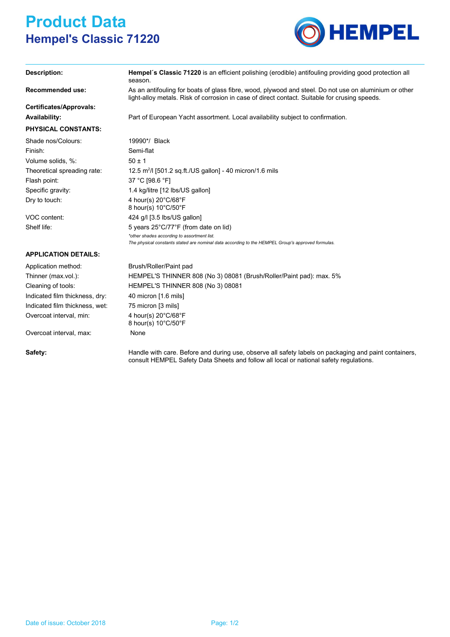## **Product Data Hempel's Classic 71220**



| Description:                   | Hempel's Classic 71220 is an efficient polishing (erodible) antifouling providing good protection all<br>season.                                                                                       |  |  |
|--------------------------------|--------------------------------------------------------------------------------------------------------------------------------------------------------------------------------------------------------|--|--|
| <b>Recommended use:</b>        | As an antifouling for boats of glass fibre, wood, plywood and steel. Do not use on aluminium or other<br>light-alloy metals. Risk of corrosion in case of direct contact. Suitable for crusing speeds. |  |  |
| Certificates/Approvals:        |                                                                                                                                                                                                        |  |  |
| <b>Availability:</b>           | Part of European Yacht assortment. Local availability subject to confirmation.                                                                                                                         |  |  |
| <b>PHYSICAL CONSTANTS:</b>     |                                                                                                                                                                                                        |  |  |
| Shade nos/Colours:             | 19990*/ Black                                                                                                                                                                                          |  |  |
| Finish:                        | Semi-flat                                                                                                                                                                                              |  |  |
| Volume solids, %:              | $50 \pm 1$                                                                                                                                                                                             |  |  |
| Theoretical spreading rate:    | 12.5 $m^2$ / [501.2 sq.ft./US gallon] - 40 micron/1.6 mils                                                                                                                                             |  |  |
| Flash point:                   | 37 °C [98.6 °F]                                                                                                                                                                                        |  |  |
| Specific gravity:              | 1.4 kg/litre [12 lbs/US gallon]                                                                                                                                                                        |  |  |
| Dry to touch:                  | 4 hour(s) 20°C/68°F<br>8 hour(s) 10°C/50°F                                                                                                                                                             |  |  |
| VOC content:                   | 424 g/l [3.5 lbs/US gallon]                                                                                                                                                                            |  |  |
| Shelf life:                    | 5 years 25°C/77°F (from date on lid)                                                                                                                                                                   |  |  |
|                                | *other shades according to assortment list.<br>The physical constants stated are nominal data according to the HEMPEL Group's approved formulas.                                                       |  |  |
| <b>APPLICATION DETAILS:</b>    |                                                                                                                                                                                                        |  |  |
| Application method:            | Brush/Roller/Paint pad                                                                                                                                                                                 |  |  |
| Thinner (max.vol.):            | HEMPEL'S THINNER 808 (No 3) 08081 (Brush/Roller/Paint pad): max. 5%                                                                                                                                    |  |  |
| Cleaning of tools:             | <b>HEMPEL'S THINNER 808 (No 3) 08081</b>                                                                                                                                                               |  |  |
| Indicated film thickness, dry: | 40 micron [1.6 mils]                                                                                                                                                                                   |  |  |
| Indicated film thickness, wet: | 75 micron [3 mils]                                                                                                                                                                                     |  |  |
| Overcoat interval, min:        | 4 hour(s) 20°C/68°F<br>8 hour(s) 10°C/50°F                                                                                                                                                             |  |  |
| Overcoat interval, max:        | None                                                                                                                                                                                                   |  |  |
| Safety:                        | Handle with care. Before and during use, observe all safety labels on packaging and paint containers,<br>consult HEMPEL Safety Data Sheets and follow all local or national safety regulations.        |  |  |